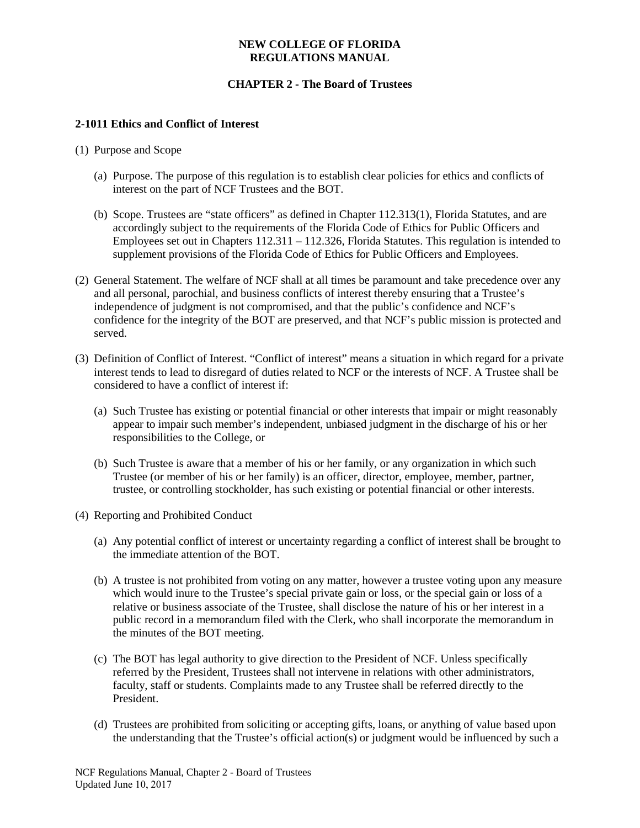### **NEW COLLEGE OF FLORIDA REGULATIONS MANUAL**

# **CHAPTER 2 - The Board of Trustees**

## **2-1011 Ethics and Conflict of Interest**

- (1) Purpose and Scope
	- (a) Purpose. The purpose of this regulation is to establish clear policies for ethics and conflicts of interest on the part of NCF Trustees and the BOT.
	- (b) Scope. Trustees are "state officers" as defined in Chapter 112.313(1), Florida Statutes, and are accordingly subject to the requirements of the Florida Code of Ethics for Public Officers and Employees set out in Chapters 112.311 – 112.326, Florida Statutes. This regulation is intended to supplement provisions of the Florida Code of Ethics for Public Officers and Employees.
- (2) General Statement. The welfare of NCF shall at all times be paramount and take precedence over any and all personal, parochial, and business conflicts of interest thereby ensuring that a Trustee's independence of judgment is not compromised, and that the public's confidence and NCF's confidence for the integrity of the BOT are preserved, and that NCF's public mission is protected and served.
- (3) Definition of Conflict of Interest. "Conflict of interest" means a situation in which regard for a private interest tends to lead to disregard of duties related to NCF or the interests of NCF. A Trustee shall be considered to have a conflict of interest if:
	- (a) Such Trustee has existing or potential financial or other interests that impair or might reasonably appear to impair such member's independent, unbiased judgment in the discharge of his or her responsibilities to the College, or
	- (b) Such Trustee is aware that a member of his or her family, or any organization in which such Trustee (or member of his or her family) is an officer, director, employee, member, partner, trustee, or controlling stockholder, has such existing or potential financial or other interests.
- (4) Reporting and Prohibited Conduct
	- (a) Any potential conflict of interest or uncertainty regarding a conflict of interest shall be brought to the immediate attention of the BOT.
	- (b) A trustee is not prohibited from voting on any matter, however a trustee voting upon any measure which would inure to the Trustee's special private gain or loss, or the special gain or loss of a relative or business associate of the Trustee, shall disclose the nature of his or her interest in a public record in a memorandum filed with the Clerk, who shall incorporate the memorandum in the minutes of the BOT meeting.
	- (c) The BOT has legal authority to give direction to the President of NCF. Unless specifically referred by the President, Trustees shall not intervene in relations with other administrators, faculty, staff or students. Complaints made to any Trustee shall be referred directly to the President.
	- (d) Trustees are prohibited from soliciting or accepting gifts, loans, or anything of value based upon the understanding that the Trustee's official action(s) or judgment would be influenced by such a